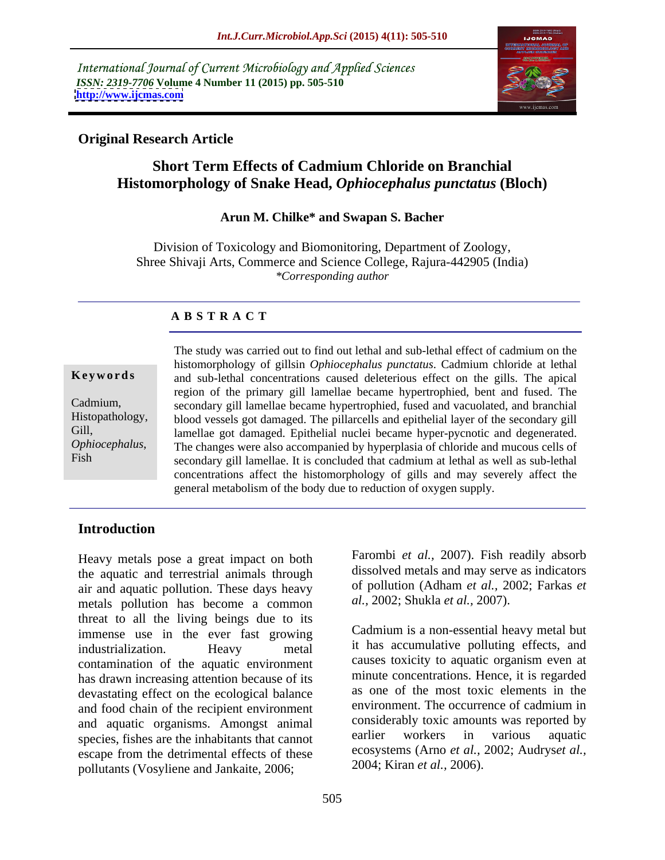International Journal of Current Microbiology and Applied Sciences *ISSN: 2319-7706* **Volume 4 Number 11 (2015) pp. 505-510 <http://www.ijcmas.com>**



# **Original Research Article**

# **Short Term Effects of Cadmium Chloride on Branchial Histomorphology of Snake Head,** *Ophiocephalus punctatus* **(Bloch)**

### **Arun M. Chilke\* and Swapan S. Bacher**

Division of Toxicology and Biomonitoring, Department of Zoology, Shree Shivaji Arts, Commerce and Science College, Rajura-442905 (India) *\*Corresponding author*

## **A B S T R A C T**

*Ophiocephalus*, Fish

The study was carried out to find out lethal and sub-lethal effect of cadmium on the histomorphology of gillsin *Ophiocephalus punctatus*. Cadmium chloride at lethal and sub-lethal concentrations caused deleterious effect on the gills. The apical **Ke ywo rds** region of the primary gill lamellae became hypertrophied, bent and fused. The secondary gill lamellae became hypertrophied, fused and vacuolated, and branchial Cadmium, Histopathology, blood vessels got damaged. The pillarcells and epithelial layer of the secondary gill Gill, lamellae got damaged. Epithelial nuclei became hyper-pycnotic and degenerated. The changes were also accompanied by hyperplasia of chloride and mucous cells of secondary gill lamellae. It is concluded that cadmium at lethal as well as sub-lethal concentrations affect the histomorphology of gills and may severely affect the general metabolism of the body due to reduction of oxygen supply.

### **Introduction**

Heavy metals pose a great impact on both the aquatic and terrestrial animals through air and aquatic pollution. These days heavy metals pollution has become a common threat to all the living beings due to its immense use in the ever fast growing industrialization. Heavy metal it has accumulative polluting effects, and contamination of the aquatic environment has drawn increasing attention because of its devastating effect on the ecological balance and food chain of the recipient environment and aquatic organisms. Amongst animal<br>species tishes are the inhabitants that cannot earlier workers in various aquatic species, fishes are the inhabitants that cannot escape from the detrimental effects of these  $\frac{\text{ecosystems}}{2004}$ ; Kiran *et al.*, 2006. pollutants (Vosyliene and Jankaite, 2006;

Farombi *et al.,* 2007). Fish readily absorb dissolved metals and may serve as indicators of pollution (Adham *et al.,* 2002; Farkas *et al.,* 2002; Shukla *et al.,* 2007).

Cadmium is a non-essential heavy metal but causes toxicity to aquatic organism even at minute concentrations. Hence, it is regarded as one of the most toxic elements in the environment. The occurrence of cadmium in considerably toxic amounts was reported by earlier workers in various aquatic ecosystems (Arno *et al.,* 2002; Audrys*et al.,* 2004; Kiran *et al.,* 2006).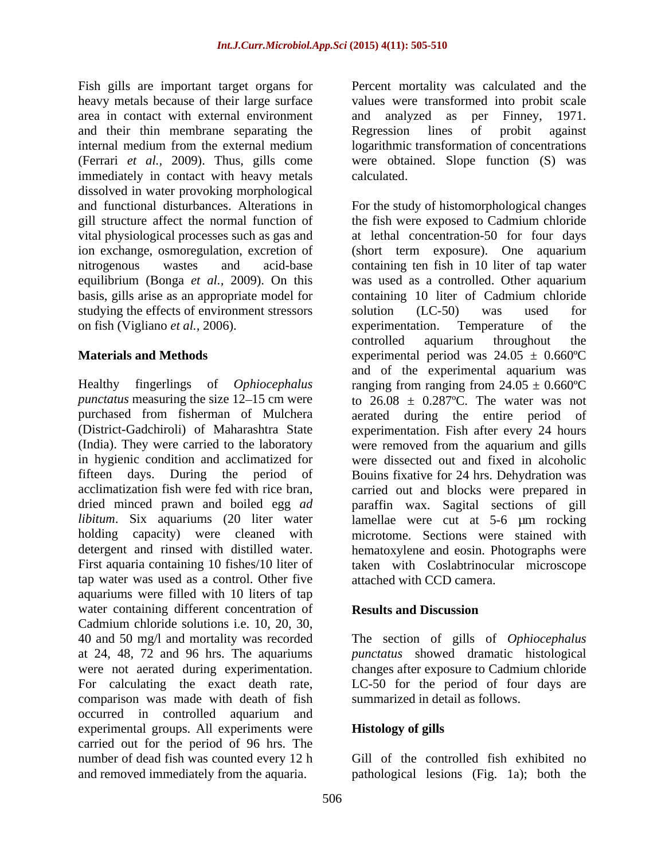Fish gills are important target organs for Percent mortality was calculated and the heavy metals because of their large surface values were transformed into probit scale area in contact with external environment and analyzed as per Finney, 1971. and their thin membrane separating the Regression lines of probit against internal medium from the external medium logarithmic transformation of concentrations (Ferrari *et al.,* 2009). Thus, gills come immediately in contact with heavy metals calculated. dissolved in water provoking morphological basis, gills arise as an appropriate model for studying the effects of environment stressors solution (LC-50) was used for on fish (Vigliano *et al.,* 2006).

tap water was used as a control. Other five aquariums were filled with 10 liters of tap water containing different concentration of **Results and Discussion** Cadmium chloride solutions i.e. 10, 20, 30, 40 and 50 mg/l and mortality was recorded The section of gills of *Ophiocephalus* at 24, 48, 72 and 96 hrs. The aquariums *punctatus* showed dramatic histological were not aerated during experimentation. changes after exposure to Cadmium chloride For calculating the exact death rate, LC-50 for the period of four days are comparison was made with death of fish occurred in controlled aquarium and experimental groups. All experiments were **Histology of gills** carried out for the period of 96 hrs. The number of dead fish was counted every 12 h and removed immediately from the aquaria. pathological lesions (Fig. 1a); both the

and analyzed as per Finney, 1971. Regression lines of probit against were obtained. Slope function (S) was calculated.

and functional disturbances. Alterations in For the study of histomorphological changes gill structure affect the normal function of the fish were exposed to Cadmium chloride vital physiological processes such as gas and at lethal concentration-50 for four days ion exchange, osmoregulation, excretion of (short term exposure). One aquarium nitrogenous wastes and acid-base containing ten fish in 10 liter of tap water equilibrium (Bonga *et al.,* 2009). On this was used as a controlled. Other aquarium **Materials and Methods** experimental period was 24.05 ± 0.660ºC Healthy fingerlings of *Ophiocephalus* ranging from ranging from 24.05 ± 0.660ºC *punctatus* measuring the size  $12-15$  cm were to  $26.08 \pm 0.287$ °C. The water was not purchased from fisherman of Mulchera aerated during the entire period of (District-Gadchiroli) of Maharashtra State experimentation. Fish after every 24 hours (India). They were carried to the laboratory were removed from the aquarium and gills in hygienic condition and acclimatized for were dissected out and fixed in alcoholic fifteen days. During the period of Bouins fixative for 24 hrs. Dehydration was acclimatization fish were fed with rice bran, carried out and blocks were prepared in dried minced prawn and boiled egg *ad* paraffin wax. Sagital sections of gill *libitum*. Six aquariums (20 liter water lamellae were cut at 5-6 µm rocking holding capacity) were cleaned with microtome. Sections were stained with detergent and rinsed with distilled water. hematoxylene and eosin. Photographs were First aquaria containing 10 fishes/10 liter of taken with Coslabtrinocular microscope containing 10 liter of Cadmium chloride solution (LC-50) was used for experimentation. Temperature of the controlled aquarium throughout the and of the experimental aquarium was attached with CCD camera.

## **Results and Discussion**

summarized in detail as follows.

## **Histology of gills**

Gill of the controlled fish exhibited no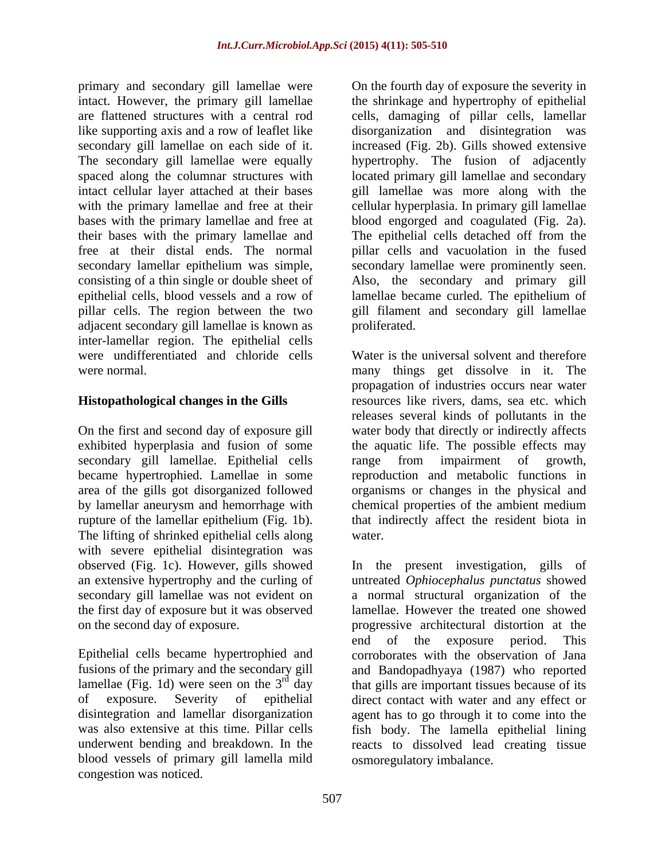primary and secondary gill lamellae were secondary gill lamellae on each side of it. their bases with the primary lamellae and adjacent secondary gill lamellae is known as inter-lamellar region. The epithelial cells

exhibited hyperplasia and fusion of some secondary gill lamellae. Epithelial cells range from impairment of growth, The lifting of shrinked epithelial cells along water. with severe epithelial disintegration was observed (Fig. 1c). However, gills showed

blood vessels of primary gill lamella mild congestion was noticed.

intact. However, the primary gill lamellae the shrinkage and hypertrophy of epithelial are flattened structures with a central rod cells, damaging of pillar cells, lamellar like supporting axis and a row of leaflet like disorganization and disintegration was The secondary gill lamellae were equally hypertrophy. The fusion of adjacently spaced along the columnar structures with located primary gill lamellae and secondary intact cellular layer attached at their bases gill lamellae was more along with the with the primary lamellae and free at their eellular hyperplasia. In primary gill lamellae bases with the primary lamellae and free at blood engorged and coagulated (Fig. 2a). free at their distal ends. The normal pillar cells and vacuolation in the fused secondary lamellar epithelium was simple, secondary lamellae were prominently seen. consisting of a thin single or double sheet of Also, the secondary and primary gill epithelial cells, blood vessels and a row of lamellae became curled. The epithelium of pillar cells. The region between the two gill filament and secondary gill lamellae On the fourth day of exposure the severity in increased (Fig. 2b). Gills showed extensive The epithelial cells detached off from the proliferated.

were undifferentiated and chloride cells Water is the universal solvent and therefore were normal. many things get dissolve in it. The **Histopathological changes in the Gills** resources like rivers, dams, sea etc. which On the first and second day of exposure gill water body that directly or indirectly affects became hypertrophied. Lamellae in some reproduction and metabolic functions in area of the gills got disorganized followed organisms or changes in the physical and by lamellar aneurysm and hemorrhage with chemical properties of the ambient medium rupture of the lamellar epithelium (Fig. 1b). that indirectly affect the resident biota in propagation of industries occurs near water releases several kinds of pollutants in the the aquatic life. The possible effects may range from impairment of growth, water.

an extensive hypertrophy and the curling of untreated *Ophiocephalus punctatus* showed secondary gill lamellae was not evident on a normal structural organization of the the first day of exposure but it was observed lamellae. However the treated one showed on the second day of exposure. progressive architectural distortion at the Epithelial cells became hypertrophied and corroborates with the observation of Jana fusions of the primary and the secondary gill and Bandopadhyaya (1987) who reported lamellae (Fig. 1d) were seen on the  $3<sup>rd</sup>$  day that gills are important tissues because of its of exposure. Severity of epithelial direct contact with water and any effect or disintegration and lamellar disorganization agent has to go through it to come into the was also extensive at this time. Pillar cells fish body. The lamella epithelial lining underwent bending and breakdown. In the reacts to dissolved lead creating tissue In the present investigation, gills of end of the exposure period. This osmoregulatory imbalance.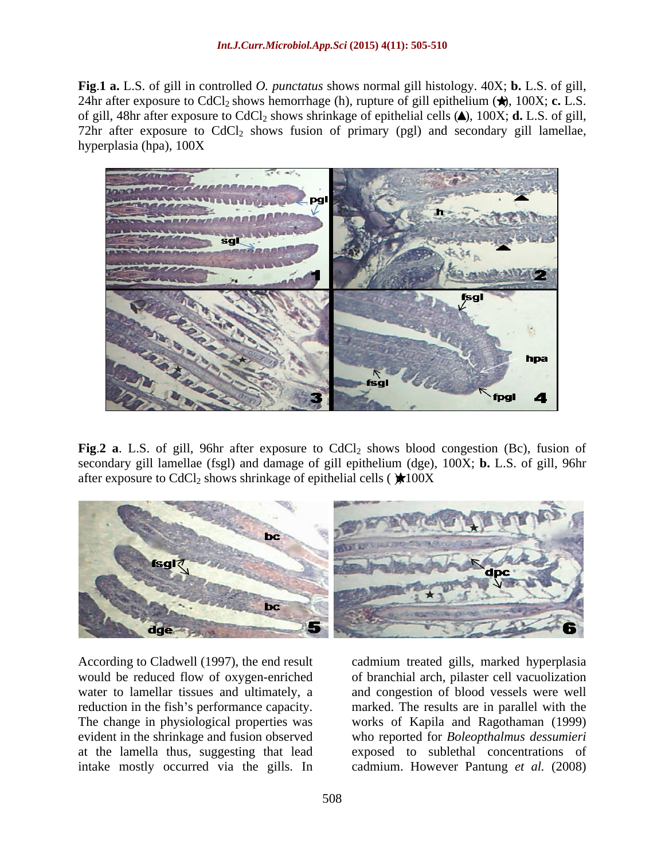**Fig**.**1 a.** L.S. of gill in controlled *O. punctatus* shows normal gill histology. 40X; **b.** L.S. of gill, 24hr after exposure to CdCl<sub>2</sub> shows hemorrhage (h), rupture of gill epithelium  $(\star)$ , 100X; **c.** L.S. of gill, 48hr after exposure to  $CdCl<sub>2</sub>$  shows shrinkage of epithelial cells  $(A)$ , 100X; **d.** L.S. of gill, 72hr after exposure to  $CdCl<sub>2</sub>$  shows fusion of primary (pgl) and secondary gill lamellae, hyperplasia (hpa),  $100X$ hyperplasia (hpa), 100X



**Fig.2 a**. L.S. of gill, 96hr after exposure to CdCl<sub>2</sub> shows blood congestion (Bc), fusion of secondary gill lamellae (fsgl) and damage of gill epithelium (dge), 100X; **b.** L.S. of gill, 96hr after exposure to CdCl<sub>2</sub> shows shrinkage of epithelial cells ( $\star$ 100X



According to Cladwell (1997), the end result cadmium treated gills, marked hyperplasia would be reduced flow of oxygen-enriched of branchial arch, pilaster cell vacuolization water to lamellar tissues and ultimately, a and congestion of blood vessels were well reduction in the fish's performance capacity. The results are in parallel with the The change in physiological properties was works of Kapila and Ragothaman (1999) evident in the shrinkage and fusion observed who reported for *Boleopthalmus dessumieri* at the lamella thus, suggesting that lead exposed to sublethal concentrations of intake mostly occurred via the gills. In cadmium. However Pantung *et al.* (2008)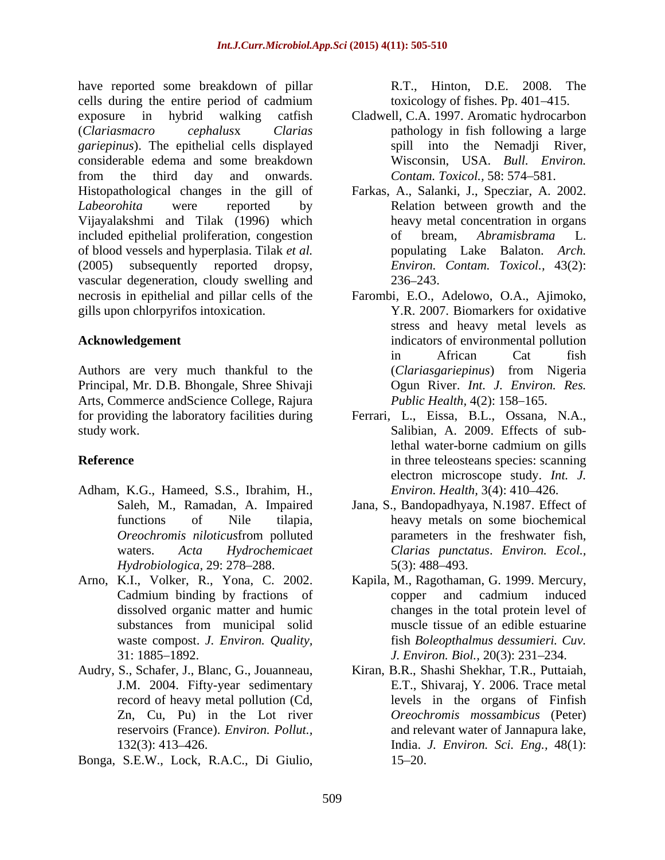have reported some breakdown of pillar R.T., Hinton, D.E. 2008. The cells during the entire period of cadmium exposure in hybrid walking catfish Cladwell, C.A. 1997. Aromatic hydrocarbon (*Clariasmacro cephalus*x *Clarias* pathology in fish following a large *gariepinus*). The epithelial cells displayed considerable edema and some breakdown from the third day and onwards. Contam. Toxicol., 58: 574–581. Histopathological changes in the gill of Farkas, A., Salanki, J., Specziar, A. 2002. *Labeorohita* were reported by Relation between growth and the Vijayalakshmi and Tilak (1996) which included epithelial proliferation, congestion of bream, Abramisbrama L. of blood vessels and hyperplasia. Tilak *et al.* (2005) subsequently reported dropsy, *Environ. Contam. Toxicol.,* 43(2): vascular degeneration, cloudy swelling and  $236-243$ . necrosis in epithelial and pillar cells of the Farombi, E.O., Adelowo, O.A., Ajimoko, have esperantic controllations of printer. F. Hinton, D.F. 2008. The espectral photon of the state of the state of the state of the state of the state of the state of the state of the state of the state of the state of the

Authors are very much thankful to the (*Clariasgariepinus*) from Nigeria Principal, Mr. D.B. Bhongale, Shree Shivaji Arts, Commerce andScience College, Rajura for providing the laboratory facilities during

- Adham, K.G., Hameed, S.S., Ibrahim, H., *Hydrobiologica,* 29: 278–288. 5(3): 488–493.
- waste compost. *J. Environ. Quality,*
- reservoirs (France). *Environ. Pollut.,*
- 

toxicology of fishes. Pp. 401-415.

- spill into the Nemadii River, Wisconsin, USA. *Bull. Environ. Contam. Toxicol.,* 58: 574-581.
- heavy metal concentration in organs of bream, *Abramisbrama* L. populating Lake Balaton. *Arch.*  236–243.
- gills upon chlorpyrifos intoxication. Y.R. 2007. Biomarkers for oxidative **Acknowledgement** indicators of environmental pollution stress and heavy metal levels as in African Cat fish (*Clariasgariepinus*) from Nigeria Ogun River. *Int. J. Environ. Res. Public Health, 4(2): 158-165.*
- study work. Salibian, A. 2009. Effects of sub-**Reference** in three teleosteans species: scanning Ferrari, L., Eissa, B.L., Ossana, N.A., lethal water-borne cadmium on gills electron microscope study. *Int. J. Environ. Health,* 3(4): 410–426.
	- Saleh, M., Ramadan, A. Impaired Jana, S., Bandopadhyaya, N.1987. Effect of functions of Nile tilapia, heavy metals on some biochemical *Oreochromis niloticus*from polluted waters. *Acta Hydrochemicaet Clarias punctatus*. *Environ. Ecol.,* parameters in the freshwater fish, 5(3): 488 493.
- Arno, K.I., Volker, R., Yona, C. 2002. Kapila, M., Ragothaman, G. 1999. Mercury, Cadmium binding by fractions of copper and cadmium induced dissolved organic matter and humic changes in the total protein level of substances from municipal solid muscle tissue of an edible estuarine 31: 1885 1892. *J. Environ. Biol.,* 20(3): 231 234. copper and cadmium induced muscle tissue of an edible estuarine fish *Boleopthalmus dessumieri. Cuv.*
- Audry, S., Schafer, J., Blanc, G., Jouanneau, Kiran, B.R., Shashi Shekhar, T.R., Puttaiah, J.M. 2004. Fifty-year sedimentary E.T., Shivaraj, Y. 2006. Trace metal record of heavy metal pollution (Cd, levels in the organs of Finfish Zn, Cu, Pu) in the Lot river *Oreochromis mossambicus* (Peter) 132(3): 413 426. India. *J. Environ. Sci. Eng.,* 48(1): and relevant water of Jannapura lake, 15–20.